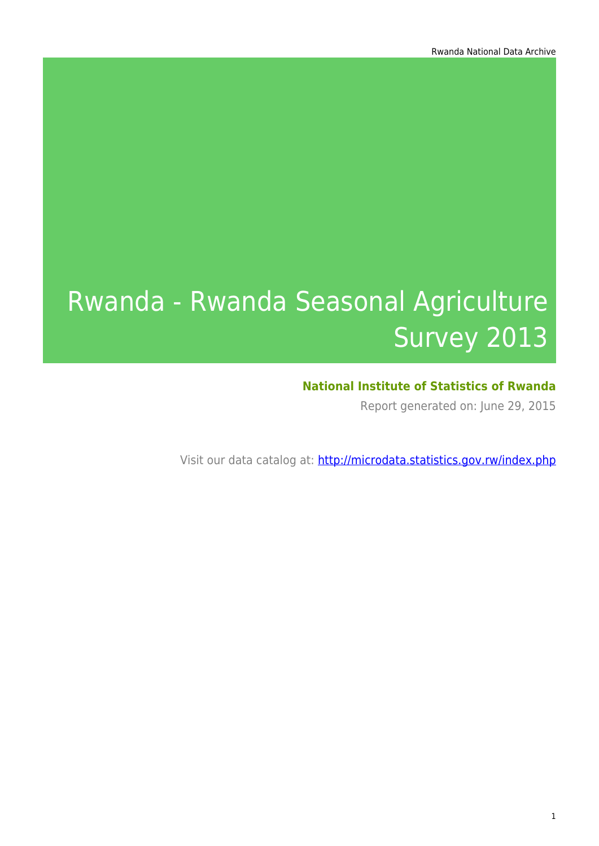# Rwanda - Rwanda Seasonal Agriculture Survey 2013

### **National Institute of Statistics of Rwanda**

Report generated on: June 29, 2015

Visit our data catalog at: http://microdata.statistics.gov.rw/index.php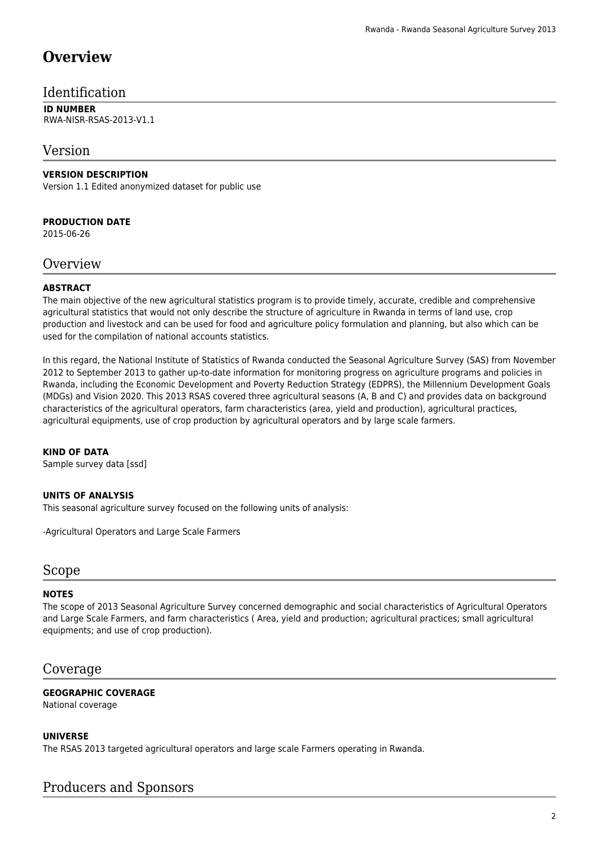# **Overview**

### Identification

#### **ID NUMBER** RWA-NISR-RSAS-2013-V1.1

### Version

#### **VERSION DESCRIPTION**

Version 1.1 Edited anonymized dataset for public use

#### **PRODUCTION DATE**

2015-06-26

### **Overview**

#### **ABSTRACT**

The main objective of the new agricultural statistics program is to provide timely, accurate, credible and comprehensive agricultural statistics that would not only describe the structure of agriculture in Rwanda in terms of land use, crop production and livestock and can be used for food and agriculture policy formulation and planning, but also which can be used for the compilation of national accounts statistics.

In this regard, the National Institute of Statistics of Rwanda conducted the Seasonal Agriculture Survey (SAS) from November 2012 to September 2013 to gather up-to-date information for monitoring progress on agriculture programs and policies in Rwanda, including the Economic Development and Poverty Reduction Strategy (EDPRS), the Millennium Development Goals (MDGs) and Vision 2020. This 2013 RSAS covered three agricultural seasons (A, B and C) and provides data on background characteristics of the agricultural operators, farm characteristics (area, yield and production), agricultural practices, agricultural equipments, use of crop production by agricultural operators and by large scale farmers.

#### **KIND OF DATA**

Sample survey data [ssd]

#### **UNITS OF ANALYSIS**

This seasonal agriculture survey focused on the following units of analysis:

-Agricultural Operators and Large Scale Farmers

#### Scope

#### **NOTES**

The scope of 2013 Seasonal Agriculture Survey concerned demographic and social characteristics of Agricultural Operators and Large Scale Farmers, and farm characteristics ( Area, yield and production; agricultural practices; small agricultural equipments; and use of crop production).

### Coverage

### **GEOGRAPHIC COVERAGE**

National coverage

#### **UNIVERSE**

The RSAS 2013 targeted agricultural operators and large scale Farmers operating in Rwanda.

### Producers and Sponsors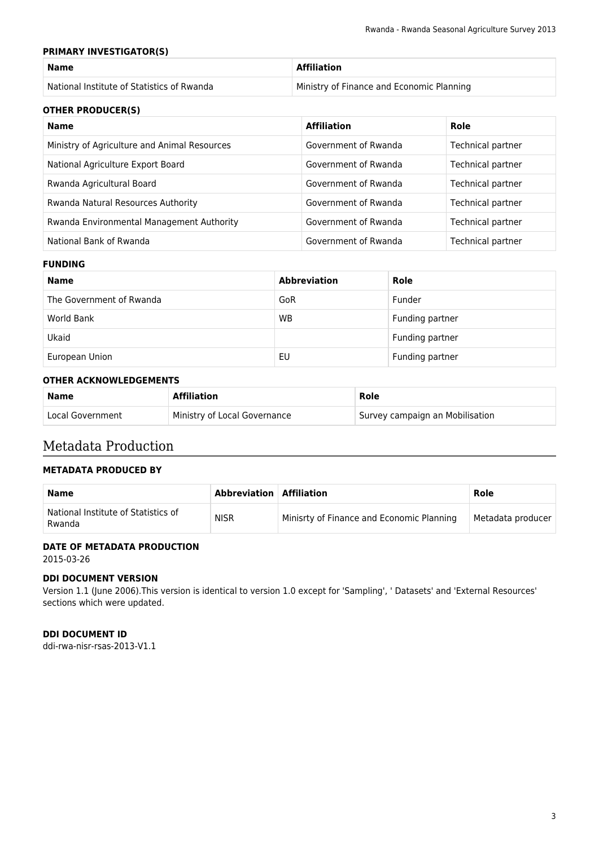#### **PRIMARY INVESTIGATOR(S)**

| <b>Name</b>                                | <b>Affiliation</b>                        |
|--------------------------------------------|-------------------------------------------|
| National Institute of Statistics of Rwanda | Ministry of Finance and Economic Planning |

#### **OTHER PRODUCER(S)**

| Name                                         | <b>Affiliation</b>   | Role              |
|----------------------------------------------|----------------------|-------------------|
| Ministry of Agriculture and Animal Resources | Government of Rwanda | Technical partner |
| National Agriculture Export Board            | Government of Rwanda | Technical partner |
| Rwanda Agricultural Board                    | Government of Rwanda | Technical partner |
| Rwanda Natural Resources Authority           | Government of Rwanda | Technical partner |
| Rwanda Environmental Management Authority    | Government of Rwanda | Technical partner |
| National Bank of Rwanda                      | Government of Rwanda | Technical partner |

#### **FUNDING**

| <b>Name</b>              | <b>Abbreviation</b> | Role            |
|--------------------------|---------------------|-----------------|
| The Government of Rwanda | GoR                 | Funder          |
| World Bank               | <b>WB</b>           | Funding partner |
| Ukaid                    |                     | Funding partner |
| European Union           | EU                  | Funding partner |

#### **OTHER ACKNOWLEDGEMENTS**

| <b>Name</b>      | <b>Affiliation</b>           | Role                            |
|------------------|------------------------------|---------------------------------|
| Local Government | Ministry of Local Governance | Survey campaign an Mobilisation |

### Metadata Production

#### **METADATA PRODUCED BY**

| <b>Name</b>                                   | Abbreviation   Affiliation |                                           | Role              |
|-----------------------------------------------|----------------------------|-------------------------------------------|-------------------|
| National Institute of Statistics of<br>Rwanda | <b>NISR</b>                | Minisrty of Finance and Economic Planning | Metadata producer |

#### **DATE OF METADATA PRODUCTION**

2015-03-26

#### **DDI DOCUMENT VERSION**

Version 1.1 (June 2006).This version is identical to version 1.0 except for 'Sampling', ' Datasets' and 'External Resources' sections which were updated.

#### **DDI DOCUMENT ID**

ddi-rwa-nisr-rsas-2013-V1.1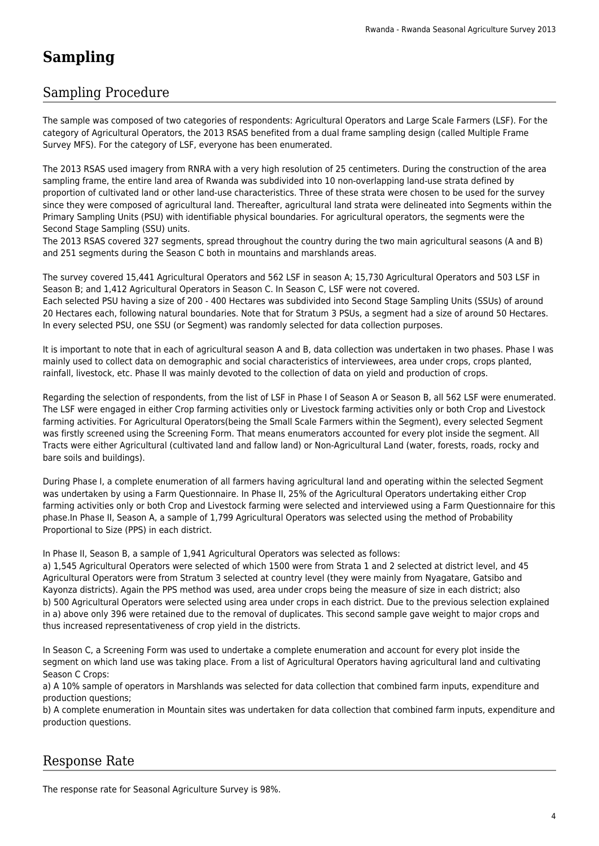# **Sampling**

### Sampling Procedure

The sample was composed of two categories of respondents: Agricultural Operators and Large Scale Farmers (LSF). For the category of Agricultural Operators, the 2013 RSAS benefited from a dual frame sampling design (called Multiple Frame Survey MFS). For the category of LSF, everyone has been enumerated.

The 2013 RSAS used imagery from RNRA with a very high resolution of 25 centimeters. During the construction of the area sampling frame, the entire land area of Rwanda was subdivided into 10 non-overlapping land-use strata defined by proportion of cultivated land or other land-use characteristics. Three of these strata were chosen to be used for the survey since they were composed of agricultural land. Thereafter, agricultural land strata were delineated into Segments within the Primary Sampling Units (PSU) with identifiable physical boundaries. For agricultural operators, the segments were the Second Stage Sampling (SSU) units.

The 2013 RSAS covered 327 segments, spread throughout the country during the two main agricultural seasons (A and B) and 251 segments during the Season C both in mountains and marshlands areas.

The survey covered 15,441 Agricultural Operators and 562 LSF in season A; 15,730 Agricultural Operators and 503 LSF in Season B; and 1,412 Agricultural Operators in Season C. In Season C, LSF were not covered. Each selected PSU having a size of 200 - 400 Hectares was subdivided into Second Stage Sampling Units (SSUs) of around 20 Hectares each, following natural boundaries. Note that for Stratum 3 PSUs, a segment had a size of around 50 Hectares. In every selected PSU, one SSU (or Segment) was randomly selected for data collection purposes.

It is important to note that in each of agricultural season A and B, data collection was undertaken in two phases. Phase I was mainly used to collect data on demographic and social characteristics of interviewees, area under crops, crops planted, rainfall, livestock, etc. Phase II was mainly devoted to the collection of data on yield and production of crops.

Regarding the selection of respondents, from the list of LSF in Phase I of Season A or Season B, all 562 LSF were enumerated. The LSF were engaged in either Crop farming activities only or Livestock farming activities only or both Crop and Livestock farming activities. For Agricultural Operators(being the Small Scale Farmers within the Segment), every selected Segment was firstly screened using the Screening Form. That means enumerators accounted for every plot inside the segment. All Tracts were either Agricultural (cultivated land and fallow land) or Non-Agricultural Land (water, forests, roads, rocky and bare soils and buildings).

During Phase I, a complete enumeration of all farmers having agricultural land and operating within the selected Segment was undertaken by using a Farm Questionnaire. In Phase II, 25% of the Agricultural Operators undertaking either Crop farming activities only or both Crop and Livestock farming were selected and interviewed using a Farm Questionnaire for this phase.In Phase II, Season A, a sample of 1,799 Agricultural Operators was selected using the method of Probability Proportional to Size (PPS) in each district.

In Phase II, Season B, a sample of 1,941 Agricultural Operators was selected as follows:

a) 1,545 Agricultural Operators were selected of which 1500 were from Strata 1 and 2 selected at district level, and 45 Agricultural Operators were from Stratum 3 selected at country level (they were mainly from Nyagatare, Gatsibo and Kayonza districts). Again the PPS method was used, area under crops being the measure of size in each district; also b) 500 Agricultural Operators were selected using area under crops in each district. Due to the previous selection explained in a) above only 396 were retained due to the removal of duplicates. This second sample gave weight to major crops and thus increased representativeness of crop yield in the districts.

In Season C, a Screening Form was used to undertake a complete enumeration and account for every plot inside the segment on which land use was taking place. From a list of Agricultural Operators having agricultural land and cultivating Season C Crops:

a) A 10% sample of operators in Marshlands was selected for data collection that combined farm inputs, expenditure and production questions;

b) A complete enumeration in Mountain sites was undertaken for data collection that combined farm inputs, expenditure and production questions.

## Response Rate

The response rate for Seasonal Agriculture Survey is 98%.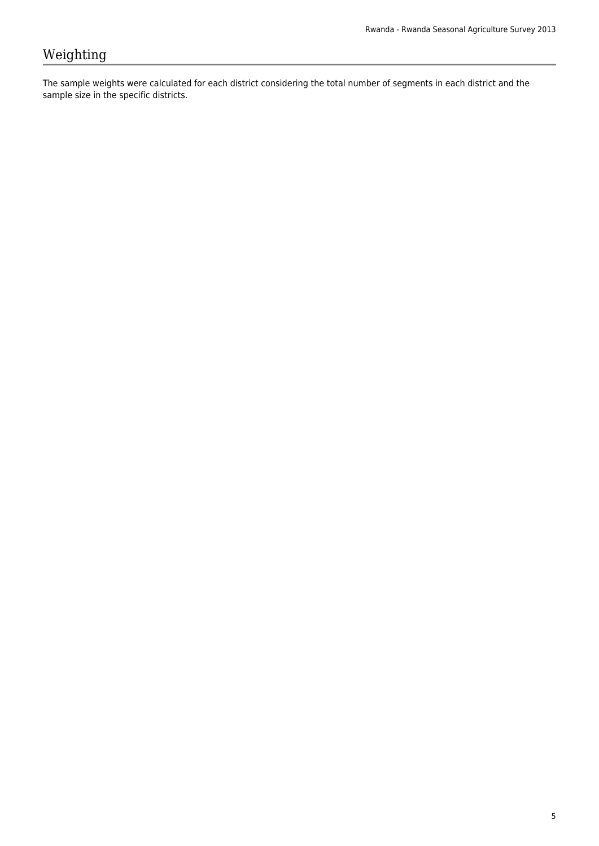# Weighting

The sample weights were calculated for each district considering the total number of segments in each district and the sample size in the specific districts.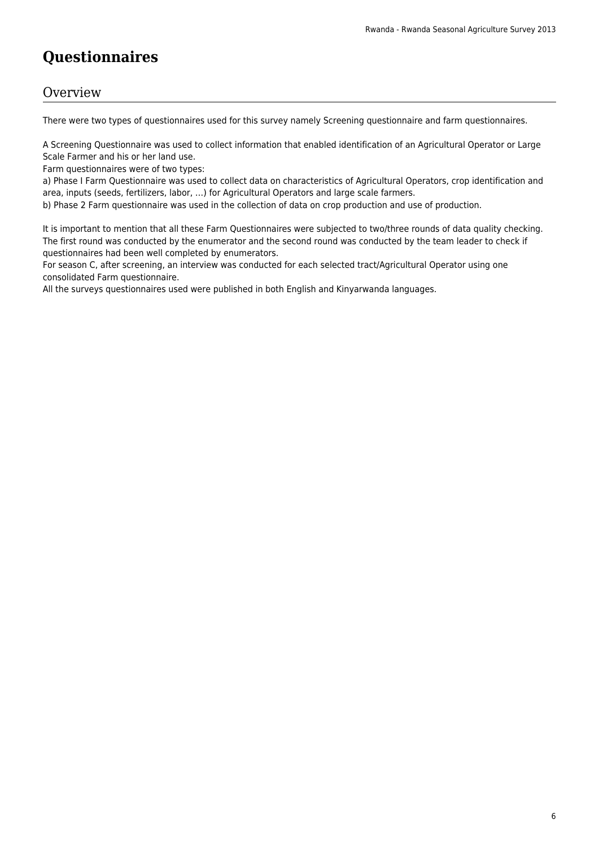# **Questionnaires**

### **Overview**

There were two types of questionnaires used for this survey namely Screening questionnaire and farm questionnaires.

A Screening Questionnaire was used to collect information that enabled identification of an Agricultural Operator or Large Scale Farmer and his or her land use.

Farm questionnaires were of two types:

a) Phase I Farm Questionnaire was used to collect data on characteristics of Agricultural Operators, crop identification and area, inputs (seeds, fertilizers, labor, …) for Agricultural Operators and large scale farmers.

b) Phase 2 Farm questionnaire was used in the collection of data on crop production and use of production.

It is important to mention that all these Farm Questionnaires were subjected to two/three rounds of data quality checking. The first round was conducted by the enumerator and the second round was conducted by the team leader to check if questionnaires had been well completed by enumerators.

For season C, after screening, an interview was conducted for each selected tract/Agricultural Operator using one consolidated Farm questionnaire.

All the surveys questionnaires used were published in both English and Kinyarwanda languages.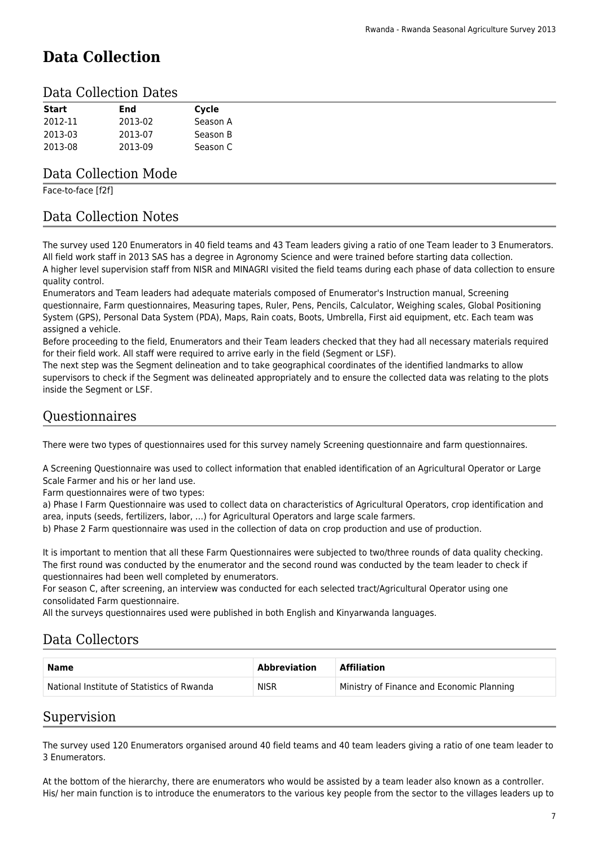# **Data Collection**

### Data Collection Dates

| <b>Start</b> | End     | Cycle    |
|--------------|---------|----------|
| 2012-11      | 2013-02 | Season A |
| 2013-03      | 2013-07 | Season B |
| 2013-08      | 2013-09 | Season C |

### Data Collection Mode

Face-to-face [f2f]

### Data Collection Notes

The survey used 120 Enumerators in 40 field teams and 43 Team leaders giving a ratio of one Team leader to 3 Enumerators. All field work staff in 2013 SAS has a degree in Agronomy Science and were trained before starting data collection. A higher level supervision staff from NISR and MINAGRI visited the field teams during each phase of data collection to ensure quality control.

Enumerators and Team leaders had adequate materials composed of Enumerator's Instruction manual, Screening questionnaire, Farm questionnaires, Measuring tapes, Ruler, Pens, Pencils, Calculator, Weighing scales, Global Positioning System (GPS), Personal Data System (PDA), Maps, Rain coats, Boots, Umbrella, First aid equipment, etc. Each team was assigned a vehicle.

Before proceeding to the field, Enumerators and their Team leaders checked that they had all necessary materials required for their field work. All staff were required to arrive early in the field (Segment or LSF).

The next step was the Segment delineation and to take geographical coordinates of the identified landmarks to allow supervisors to check if the Segment was delineated appropriately and to ensure the collected data was relating to the plots inside the Segment or LSF.

### Questionnaires

There were two types of questionnaires used for this survey namely Screening questionnaire and farm questionnaires.

A Screening Questionnaire was used to collect information that enabled identification of an Agricultural Operator or Large Scale Farmer and his or her land use.

Farm questionnaires were of two types:

a) Phase I Farm Questionnaire was used to collect data on characteristics of Agricultural Operators, crop identification and area, inputs (seeds, fertilizers, labor, …) for Agricultural Operators and large scale farmers.

b) Phase 2 Farm questionnaire was used in the collection of data on crop production and use of production.

It is important to mention that all these Farm Questionnaires were subjected to two/three rounds of data quality checking. The first round was conducted by the enumerator and the second round was conducted by the team leader to check if questionnaires had been well completed by enumerators.

For season C, after screening, an interview was conducted for each selected tract/Agricultural Operator using one consolidated Farm questionnaire.

All the surveys questionnaires used were published in both English and Kinyarwanda languages.

### Data Collectors

| <b>Name</b>                                | <b>Abbreviation</b> | <b>Affiliation</b>                        |
|--------------------------------------------|---------------------|-------------------------------------------|
| National Institute of Statistics of Rwanda | <b>NISR</b>         | Ministry of Finance and Economic Planning |

### Supervision

The survey used 120 Enumerators organised around 40 field teams and 40 team leaders giving a ratio of one team leader to 3 Enumerators.

At the bottom of the hierarchy, there are enumerators who would be assisted by a team leader also known as a controller. His/ her main function is to introduce the enumerators to the various key people from the sector to the villages leaders up to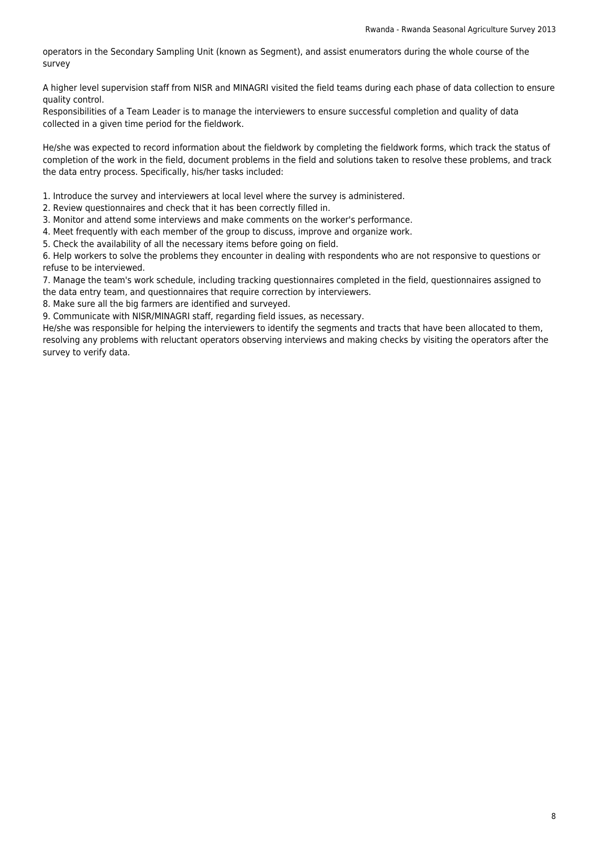operators in the Secondary Sampling Unit (known as Segment), and assist enumerators during the whole course of the survey

A higher level supervision staff from NISR and MINAGRI visited the field teams during each phase of data collection to ensure quality control.

Responsibilities of a Team Leader is to manage the interviewers to ensure successful completion and quality of data collected in a given time period for the fieldwork.

He/she was expected to record information about the fieldwork by completing the fieldwork forms, which track the status of completion of the work in the field, document problems in the field and solutions taken to resolve these problems, and track the data entry process. Specifically, his/her tasks included:

1. Introduce the survey and interviewers at local level where the survey is administered.

2. Review questionnaires and check that it has been correctly filled in.

3. Monitor and attend some interviews and make comments on the worker's performance.

4. Meet frequently with each member of the group to discuss, improve and organize work.

5. Check the availability of all the necessary items before going on field.

6. Help workers to solve the problems they encounter in dealing with respondents who are not responsive to questions or refuse to be interviewed.

7. Manage the team's work schedule, including tracking questionnaires completed in the field, questionnaires assigned to the data entry team, and questionnaires that require correction by interviewers.

8. Make sure all the big farmers are identified and surveyed.

9. Communicate with NISR/MINAGRI staff, regarding field issues, as necessary.

He/she was responsible for helping the interviewers to identify the segments and tracts that have been allocated to them, resolving any problems with reluctant operators observing interviews and making checks by visiting the operators after the survey to verify data.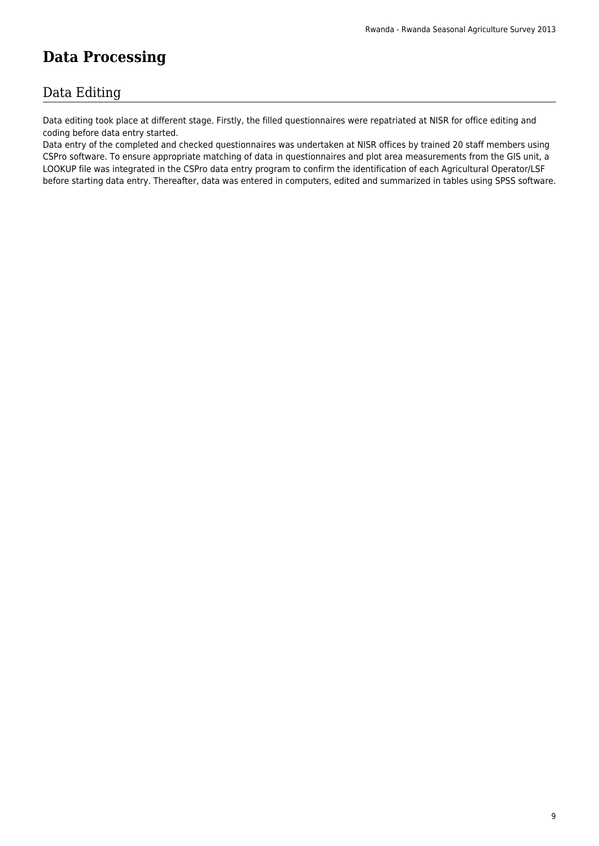# **Data Processing**

### Data Editing

Data editing took place at different stage. Firstly, the filled questionnaires were repatriated at NISR for office editing and coding before data entry started.

Data entry of the completed and checked questionnaires was undertaken at NISR offices by trained 20 staff members using CSPro software. To ensure appropriate matching of data in questionnaires and plot area measurements from the GIS unit, a LOOKUP file was integrated in the CSPro data entry program to confirm the identification of each Agricultural Operator/LSF before starting data entry. Thereafter, data was entered in computers, edited and summarized in tables using SPSS software.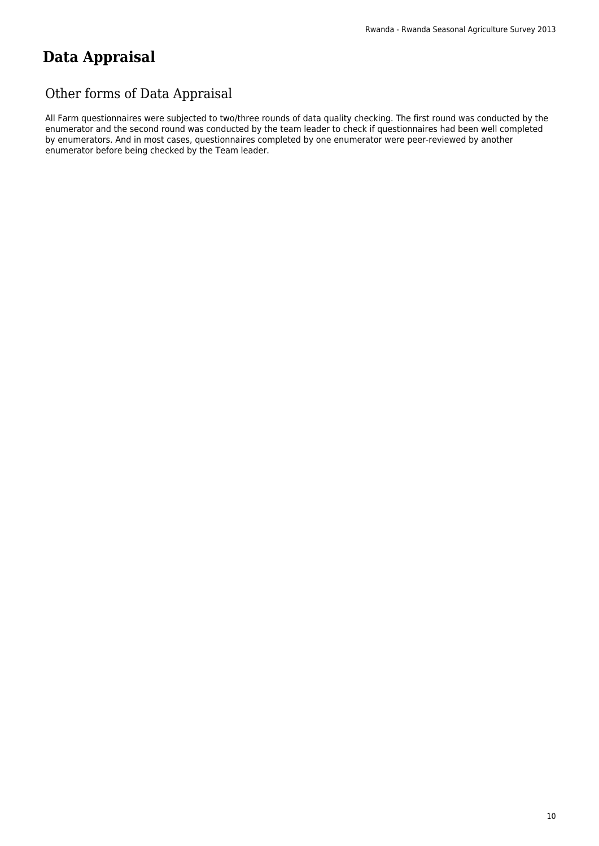# **Data Appraisal**

## Other forms of Data Appraisal

All Farm questionnaires were subjected to two/three rounds of data quality checking. The first round was conducted by the enumerator and the second round was conducted by the team leader to check if questionnaires had been well completed by enumerators. And in most cases, questionnaires completed by one enumerator were peer-reviewed by another enumerator before being checked by the Team leader.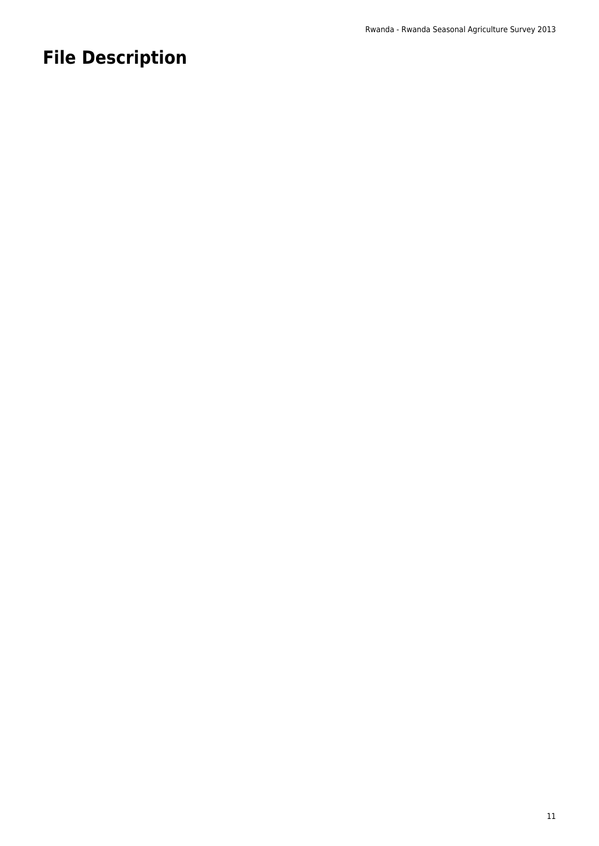# **File Description**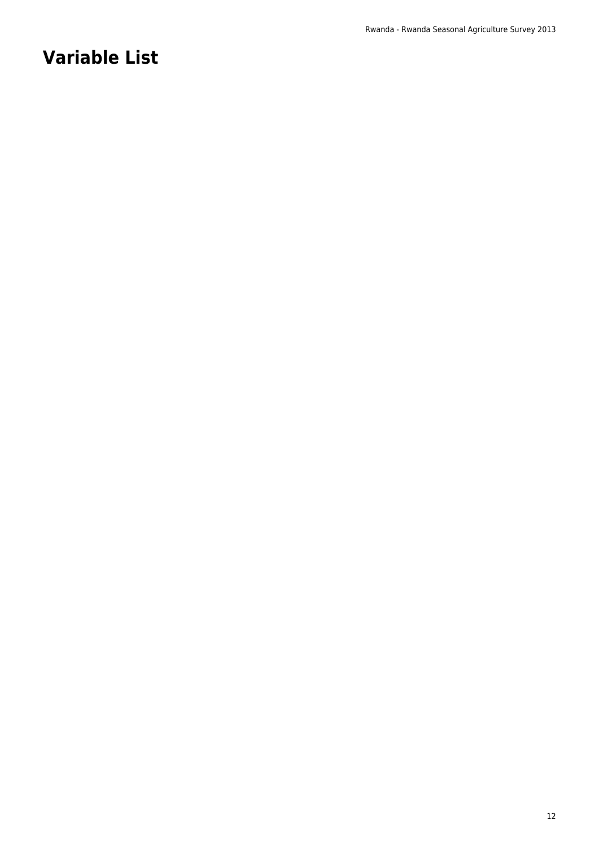# **Variable List**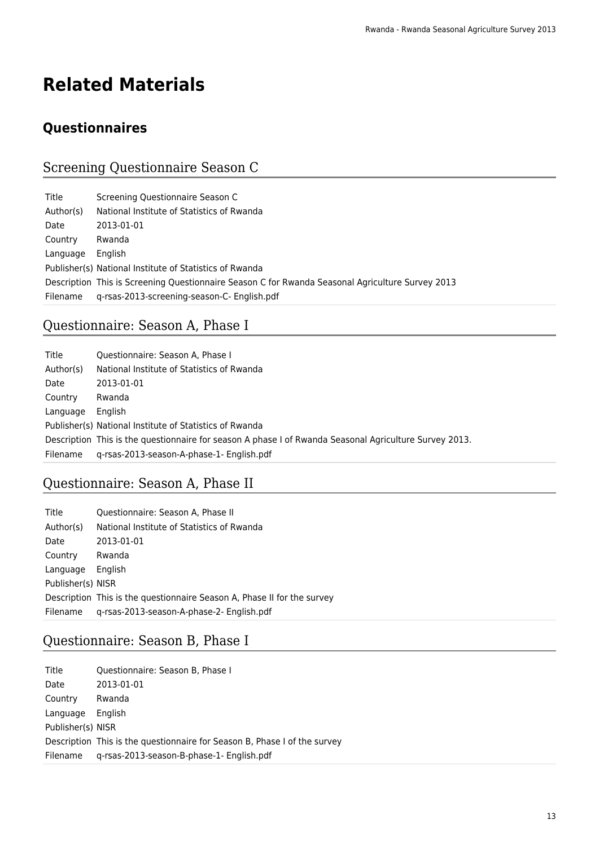# **Related Materials**

# **Questionnaires**

# Screening Questionnaire Season C

| Title     | Screening Questionnaire Season C                                                                 |
|-----------|--------------------------------------------------------------------------------------------------|
| Author(s) | National Institute of Statistics of Rwanda                                                       |
| Date      | 2013-01-01                                                                                       |
| Country   | Rwanda                                                                                           |
| Language  | English                                                                                          |
|           | Publisher(s) National Institute of Statistics of Rwanda                                          |
|           | Description This is Screening Questionnaire Season C for Rwanda Seasonal Agriculture Survey 2013 |
| Filename  | g-rsas-2013-screening-season-C- English.pdf                                                      |

# Questionnaire: Season A, Phase I

| Title     | Questionnaire: Season A, Phase I                                                                       |
|-----------|--------------------------------------------------------------------------------------------------------|
| Author(s) | National Institute of Statistics of Rwanda                                                             |
| Date      | 2013-01-01                                                                                             |
| Country   | Rwanda                                                                                                 |
| Language  | <b>English</b>                                                                                         |
|           | Publisher(s) National Institute of Statistics of Rwanda                                                |
|           | Description This is the questionnaire for season A phase I of Rwanda Seasonal Agriculture Survey 2013. |
| Filename  | g-rsas-2013-season-A-phase-1- English.pdf                                                              |

# Questionnaire: Season A, Phase II

| Title             | Questionnaire: Season A, Phase II                                       |
|-------------------|-------------------------------------------------------------------------|
| Author(s)         | National Institute of Statistics of Rwanda                              |
| Date              | 2013-01-01                                                              |
| Country           | Rwanda                                                                  |
| Language          | English                                                                 |
| Publisher(s) NISR |                                                                         |
|                   | Description This is the questionnaire Season A, Phase II for the survey |
| Filename          | g-rsas-2013-season-A-phase-2- English.pdf                               |

# Questionnaire: Season B, Phase I

| Title             | Questionnaire: Season B, Phase I                                          |
|-------------------|---------------------------------------------------------------------------|
| Date              | 2013-01-01                                                                |
| Country           | Rwanda                                                                    |
| Language          | English                                                                   |
| Publisher(s) NISR |                                                                           |
|                   | Description This is the questionnaire for Season B, Phase I of the survey |
| Filename          | g-rsas-2013-season-B-phase-1- English.pdf                                 |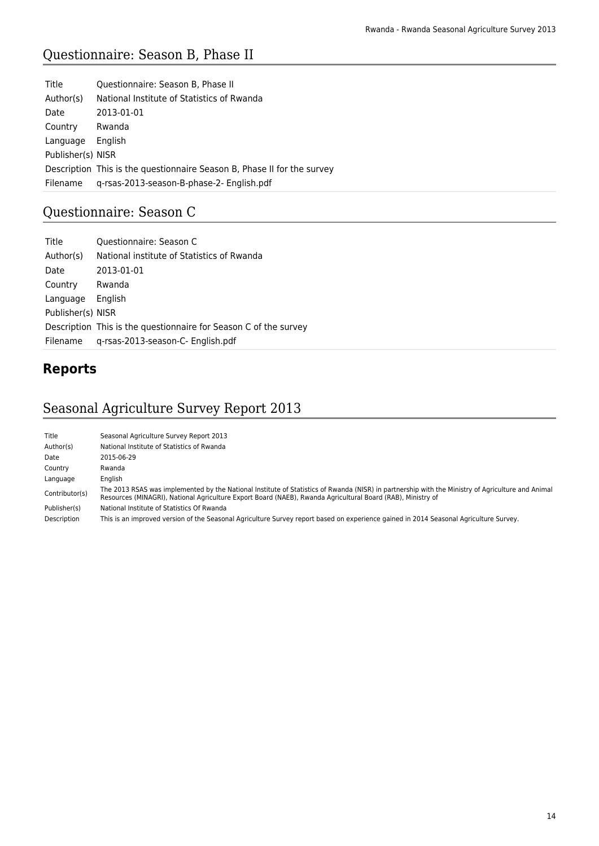# Questionnaire: Season B, Phase II

| Title             | Questionnaire: Season B, Phase II                                       |
|-------------------|-------------------------------------------------------------------------|
| Author(s)         | National Institute of Statistics of Rwanda                              |
| Date              | 2013-01-01                                                              |
| Country           | Rwanda                                                                  |
| Language          | <b>English</b>                                                          |
| Publisher(s) NISR |                                                                         |
|                   | Description This is the questionnaire Season B, Phase II for the survey |
| Filename          | g-rsas-2013-season-B-phase-2- English.pdf                               |

# Questionnaire: Season C

| Title             | Questionnaire: Season C                                          |
|-------------------|------------------------------------------------------------------|
| Author(s)         | National institute of Statistics of Rwanda                       |
| Date              | 2013-01-01                                                       |
| Country           | Rwanda                                                           |
| Language          | English                                                          |
| Publisher(s) NISR |                                                                  |
|                   | Description This is the questionnaire for Season C of the survey |
| Filename          | g-rsas-2013-season-C- English.pdf                                |

# **Reports**

# Seasonal Agriculture Survey Report 2013

| Title          | Seasonal Agriculture Survey Report 2013                                                                                                                                                                                                                          |
|----------------|------------------------------------------------------------------------------------------------------------------------------------------------------------------------------------------------------------------------------------------------------------------|
| Author(s)      | National Institute of Statistics of Rwanda                                                                                                                                                                                                                       |
| Date           | 2015-06-29                                                                                                                                                                                                                                                       |
| Country        | Rwanda                                                                                                                                                                                                                                                           |
| Language       | Enalish                                                                                                                                                                                                                                                          |
| Contributor(s) | The 2013 RSAS was implemented by the National Institute of Statistics of Rwanda (NISR) in partnership with the Ministry of Agriculture and Animal<br>Resources (MINAGRI), National Agriculture Export Board (NAEB), Rwanda Agricultural Board (RAB), Ministry of |
| Publisher(s)   | National Institute of Statistics Of Rwanda                                                                                                                                                                                                                       |
| Description    | This is an improved version of the Seasonal Agriculture Survey report based on experience gained in 2014 Seasonal Agriculture Survey.                                                                                                                            |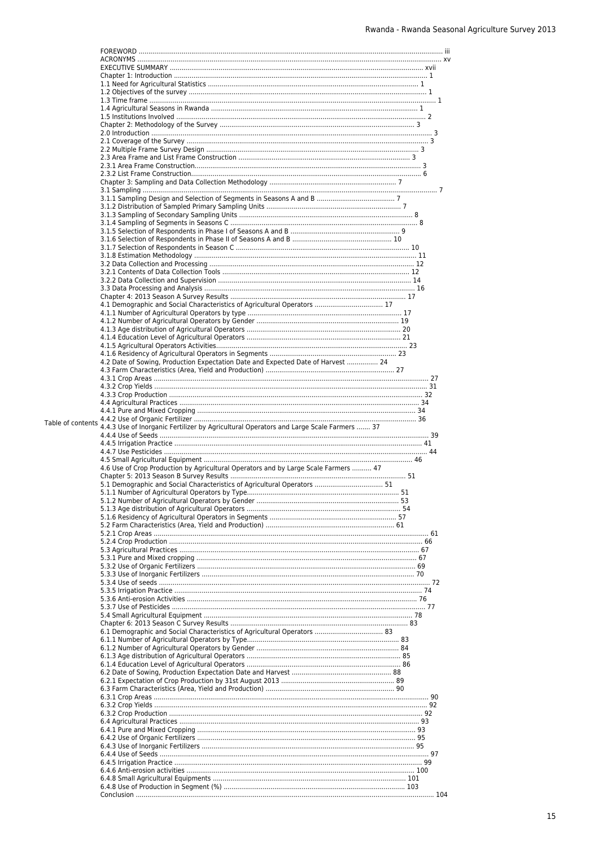|                   | 4.1 Demographic and Social Characteristics of Agricultural Operators  17                |  |
|-------------------|-----------------------------------------------------------------------------------------|--|
|                   |                                                                                         |  |
|                   |                                                                                         |  |
|                   |                                                                                         |  |
|                   |                                                                                         |  |
|                   |                                                                                         |  |
|                   | 4.2 Date of Sowing, Production Expectation Date and Expected Date of Harvest  24        |  |
|                   |                                                                                         |  |
|                   |                                                                                         |  |
|                   |                                                                                         |  |
|                   |                                                                                         |  |
|                   |                                                                                         |  |
| Table of contents |                                                                                         |  |
|                   | 4.4.3 Use of Inorganic Fertilizer by Agricultural Operators and Large Scale Farmers  37 |  |
|                   |                                                                                         |  |
|                   |                                                                                         |  |
|                   |                                                                                         |  |
|                   | 4.6 Use of Crop Production by Agricultural Operators and by Large Scale Farmers  47     |  |
|                   |                                                                                         |  |
|                   |                                                                                         |  |
|                   |                                                                                         |  |
|                   |                                                                                         |  |
|                   |                                                                                         |  |
|                   |                                                                                         |  |
|                   |                                                                                         |  |
|                   |                                                                                         |  |
|                   |                                                                                         |  |
|                   |                                                                                         |  |
|                   |                                                                                         |  |
|                   |                                                                                         |  |
|                   |                                                                                         |  |
|                   |                                                                                         |  |
|                   |                                                                                         |  |
|                   |                                                                                         |  |
|                   |                                                                                         |  |
|                   |                                                                                         |  |
|                   |                                                                                         |  |
|                   |                                                                                         |  |
|                   |                                                                                         |  |
|                   |                                                                                         |  |
|                   |                                                                                         |  |
|                   |                                                                                         |  |
|                   |                                                                                         |  |
|                   |                                                                                         |  |
|                   |                                                                                         |  |
|                   |                                                                                         |  |
|                   |                                                                                         |  |
|                   |                                                                                         |  |
|                   |                                                                                         |  |
|                   |                                                                                         |  |
|                   |                                                                                         |  |
|                   |                                                                                         |  |
|                   |                                                                                         |  |
|                   |                                                                                         |  |